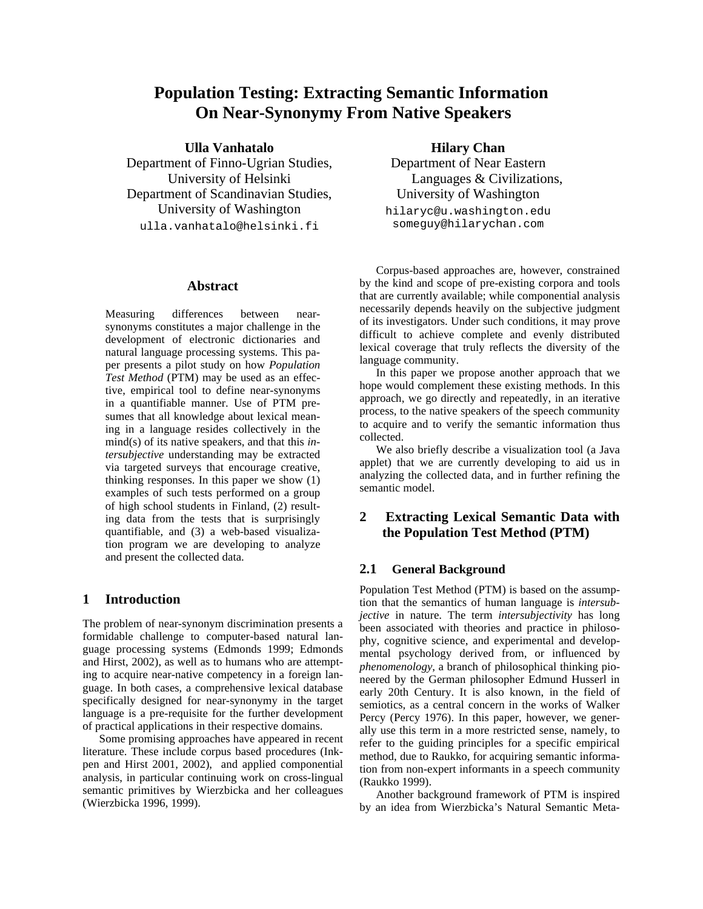# **Population Testing: Extracting Semantic Information On Near-Synonymy From Native Speakers**

**Ulla Vanhatalo** 

Department of Finno-Ugrian Studies, University of Helsinki Department of Scandinavian Studies, University of Washington ulla.vanhatalo@helsinki.fi

#### **Abstract**

Measuring differences between nearsynonyms constitutes a major challenge in the development of electronic dictionaries and natural language processing systems. This paper presents a pilot study on how *Population Test Method* (PTM) may be used as an effective, empirical tool to define near-synonyms in a quantifiable manner. Use of PTM presumes that all knowledge about lexical meaning in a language resides collectively in the mind(s) of its native speakers, and that this *intersubjective* understanding may be extracted via targeted surveys that encourage creative, thinking responses. In this paper we show (1) examples of such tests performed on a group of high school students in Finland, (2) resulting data from the tests that is surprisingly quantifiable, and (3) a web-based visualization program we are developing to analyze and present the collected data.

## **1 Introduction**

The problem of near-synonym discrimination presents a formidable challenge to computer-based natural language processing systems (Edmonds 1999; Edmonds and Hirst, 2002), as well as to humans who are attempting to acquire near-native competency in a foreign language. In both cases, a comprehensive lexical database specifically designed for near-synonymy in the target language is a pre-requisite for the further development of practical applications in their respective domains.

Some promising approaches have appeared in recent literature. These include corpus based procedures (Inkpen and Hirst 2001, 2002), and applied componential analysis, in particular continuing work on cross-lingual semantic primitives by Wierzbicka and her colleagues (Wierzbicka 1996, 1999).

**Hilary Chan** 

Department of Near Eastern Languages & Civilizations, University of Washington hilaryc@u.washington.edu someguy@hilarychan.com

Corpus-based approaches are, however, constrained by the kind and scope of pre-existing corpora and tools that are currently available; while componential analysis necessarily depends heavily on the subjective judgment of its investigators. Under such conditions, it may prove difficult to achieve complete and evenly distributed lexical coverage that truly reflects the diversity of the language community.

In this paper we propose another approach that we hope would complement these existing methods. In this approach, we go directly and repeatedly, in an iterative process, to the native speakers of the speech community to acquire and to verify the semantic information thus collected.

We also briefly describe a visualization tool (a Java applet) that we are currently developing to aid us in analyzing the collected data, and in further refining the semantic model.

# **2 Extracting Lexical Semantic Data with the Population Test Method (PTM)**

#### **2.1 General Background**

Population Test Method (PTM) is based on the assumption that the semantics of human language is *intersubjective* in nature. The term *intersubjectivity* has long been associated with theories and practice in philosophy, cognitive science, and experimental and developmental psychology derived from, or influenced by *phenomenology*, a branch of philosophical thinking pioneered by the German philosopher Edmund Husserl in early 20th Century. It is also known, in the field of semiotics, as a central concern in the works of Walker Percy (Percy 1976). In this paper, however, we generally use this term in a more restricted sense, namely, to refer to the guiding principles for a specific empirical method, due to Raukko, for acquiring semantic information from non-expert informants in a speech community (Raukko 1999).

Another background framework of PTM is inspired by an idea from Wierzbicka's Natural Semantic Meta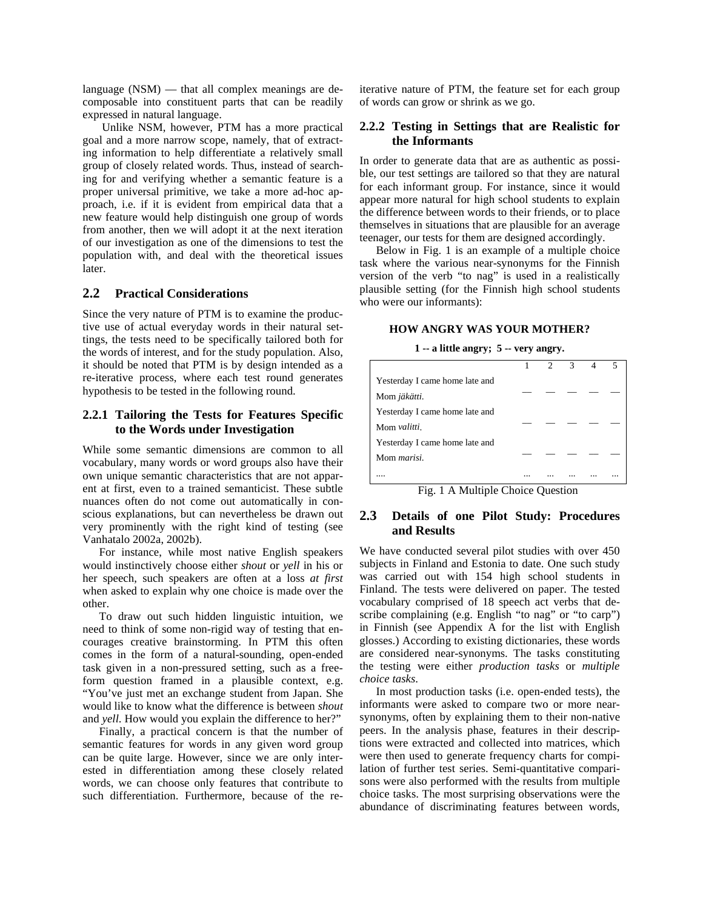language (NSM) — that all complex meanings are decomposable into constituent parts that can be readily expressed in natural language.

 Unlike NSM, however, PTM has a more practical goal and a more narrow scope, namely, that of extracting information to help differentiate a relatively small group of closely related words. Thus, instead of searching for and verifying whether a semantic feature is a proper universal primitive, we take a more ad-hoc approach, i.e. if it is evident from empirical data that a new feature would help distinguish one group of words from another, then we will adopt it at the next iteration of our investigation as one of the dimensions to test the population with, and deal with the theoretical issues later.

#### **2.2 Practical Considerations**

Since the very nature of PTM is to examine the productive use of actual everyday words in their natural settings, the tests need to be specifically tailored both for the words of interest, and for the study population. Also, it should be noted that PTM is by design intended as a re-iterative process, where each test round generates hypothesis to be tested in the following round.

## **2.2.1 Tailoring the Tests for Features Specific to the Words under Investigation**

While some semantic dimensions are common to all vocabulary, many words or word groups also have their own unique semantic characteristics that are not apparent at first, even to a trained semanticist. These subtle nuances often do not come out automatically in conscious explanations, but can nevertheless be drawn out very prominently with the right kind of testing (see Vanhatalo 2002a, 2002b).

For instance, while most native English speakers would instinctively choose either *shout* or *yell* in his or her speech, such speakers are often at a loss *at first* when asked to explain why one choice is made over the other.

To draw out such hidden linguistic intuition, we need to think of some non-rigid way of testing that encourages creative brainstorming. In PTM this often comes in the form of a natural-sounding, open-ended task given in a non-pressured setting, such as a freeform question framed in a plausible context, e.g. "You've just met an exchange student from Japan. She would like to know what the difference is between *shout* and *yell*. How would you explain the difference to her?"

Finally, a practical concern is that the number of semantic features for words in any given word group can be quite large. However, since we are only interested in differentiation among these closely related words, we can choose only features that contribute to such differentiation. Furthermore, because of the reiterative nature of PTM, the feature set for each group of words can grow or shrink as we go.

## **2.2.2 Testing in Settings that are Realistic for the Informants**

In order to generate data that are as authentic as possible, our test settings are tailored so that they are natural for each informant group. For instance, since it would appear more natural for high school students to explain the difference between words to their friends, or to place themselves in situations that are plausible for an average teenager, our tests for them are designed accordingly.

Below in Fig. 1 is an example of a multiple choice task where the various near-synonyms for the Finnish version of the verb "to nag" is used in a realistically plausible setting (for the Finnish high school students who were our informants):

#### **HOW ANGRY WAS YOUR MOTHER?**

**1 -- a little angry; 5 -- very angry.** 

|                                | $2^{\circ}$ | $\mathbf{3}$ |  |
|--------------------------------|-------------|--------------|--|
| Yesterday I came home late and |             |              |  |
| Mom jäkätti.                   |             |              |  |
| Yesterday I came home late and |             |              |  |
| Mom <i>valitti</i> .           |             |              |  |
| Yesterday I came home late and |             |              |  |
| Mom <i>marisi</i> .            |             |              |  |
|                                |             |              |  |

Fig. 1 A Multiple Choice Question

## **2.3 Details of one Pilot Study: Procedures and Results**

We have conducted several pilot studies with over 450 subjects in Finland and Estonia to date. One such study was carried out with 154 high school students in Finland. The tests were delivered on paper. The tested vocabulary comprised of 18 speech act verbs that describe complaining (e.g. English "to nag" or "to carp") in Finnish (see Appendix A for the list with English glosses.) According to existing dictionaries, these words are considered near-synonyms. The tasks constituting the testing were either *production tasks* or *multiple choice tasks*.

In most production tasks (i.e. open-ended tests), the informants were asked to compare two or more nearsynonyms, often by explaining them to their non-native peers. In the analysis phase, features in their descriptions were extracted and collected into matrices, which were then used to generate frequency charts for compilation of further test series. Semi-quantitative comparisons were also performed with the results from multiple choice tasks. The most surprising observations were the abundance of discriminating features between words,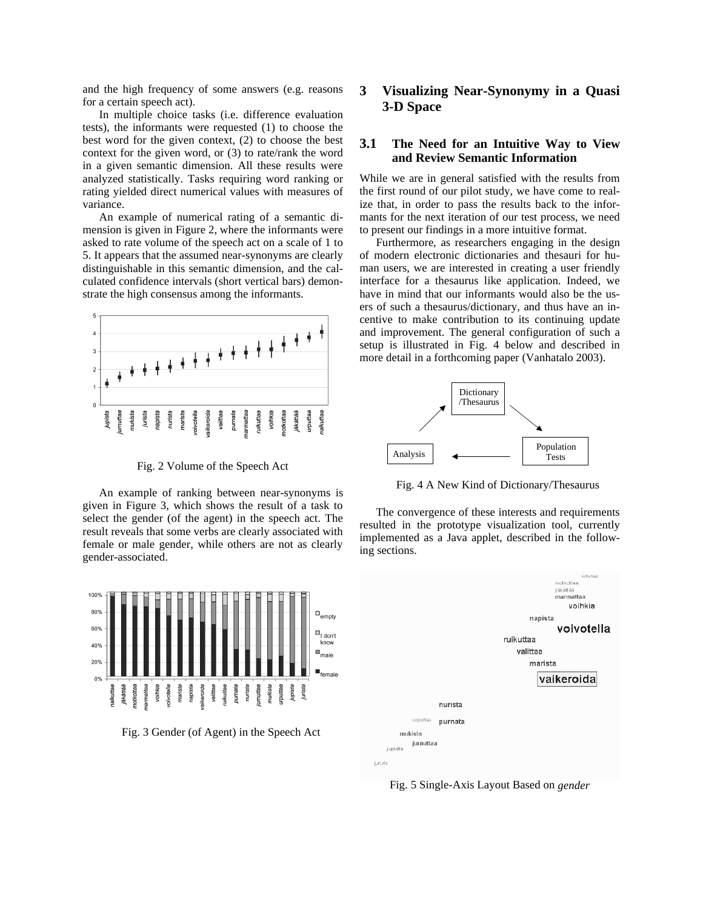and the high frequency of some answers (e.g. reasons for a certain speech act).

In multiple choice tasks (i.e. difference evaluation tests), the informants were requested (1) to choose the best word for the given context, (2) to choose the best context for the given word, or (3) to rate/rank the word in a given semantic dimension. All these results were analyzed statistically. Tasks requiring word ranking or rating yielded direct numerical values with measures of variance.

An example of numerical rating of a semantic dimension is given in Figure 2, where the informants were asked to rate volume of the speech act on a scale of 1 to 5. It appears that the assumed near-synonyms are clearly distinguishable in this semantic dimension, and the calculated confidence intervals (short vertical bars) demonstrate the high consensus among the informants.



Fig. 2 Volume of the Speech Act

An example of ranking between near-synonyms is given in Figure 3, which shows the result of a task to select the gender (of the agent) in the speech act. The result reveals that some verbs are clearly associated with female or male gender, while others are not as clearly gender-associated.



Fig. 3 Gender (of Agent) in the Speech Act

## **3 Visualizing Near-Synonymy in a Quasi 3-D Space**

### **3.1 The Need for an Intuitive Way to View and Review Semantic Information**

While we are in general satisfied with the results from the first round of our pilot study, we have come to realize that, in order to pass the results back to the informants for the next iteration of our test process, we need to present our findings in a more intuitive format.

Furthermore, as researchers engaging in the design of modern electronic dictionaries and thesauri for human users, we are interested in creating a user friendly interface for a thesaurus like application. Indeed, we have in mind that our informants would also be the users of such a thesaurus/dictionary, and thus have an incentive to make contribution to its continuing update and improvement. The general configuration of such a setup is illustrated in Fig. 4 below and described in more detail in a forthcoming paper (Vanhatalo 2003).



Fig. 4 A New Kind of Dictionary/Thesaurus

The convergence of these interests and requirements resulted in the prototype visualization tool, currently implemented as a Java applet, described in the following sections.



Fig. 5 Single-Axis Layout Based on *gender*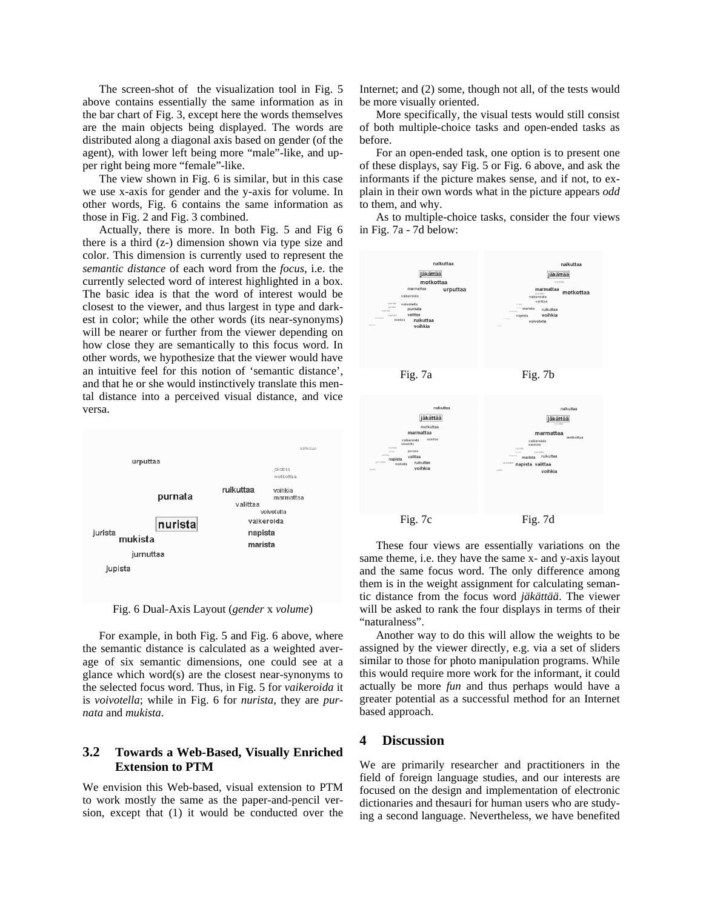The screen-shot of the visualization tool in Fig. 5 above contains essentially the same information as in the bar chart of Fig. 3, except here the words themselves are the main objects being displayed. The words are distributed along a diagonal axis based on gender (of the agent), with lower left being more "male"-like, and upper right being more "female"-like.

The view shown in Fig. 6 is similar, but in this case we use x-axis for gender and the y-axis for volume. In other words, Fig. 6 contains the same information as those in Fig. 2 and Fig. 3 combined.

Actually, there is more. In both Fig. 5 and Fig 6 there is a third (z-) dimension shown via type size and color. This dimension is currently used to represent the *semantic distance* of each word from the *focus*, i.e. the currently selected word of interest highlighted in a box. The basic idea is that the word of interest would be closest to the viewer, and thus largest in type and darkest in color; while the other words (its near-synonyms) will be nearer or further from the viewer depending on how close they are semantically to this focus word. In other words, we hypothesize that the viewer would have an intuitive feel for this notion of 'semantic distance', and that he or she would instinctively translate this mental distance into a perceived visual distance, and vice versa.



Fig. 6 Dual-Axis Layout (*gender* x *volume*)

For example, in both Fig. 5 and Fig. 6 above, where the semantic distance is calculated as a weighted average of six semantic dimensions, one could see at a glance which word(s) are the closest near-synonyms to the selected focus word. Thus, in Fig. 5 for *vaikeroida* it is *voivotella*; while in Fig. 6 for *nurista*, they are *purnata* and *mukista*.

## **3.2 Towards a Web-Based, Visually Enriched Extension to PTM**

We envision this Web-based, visual extension to PTM to work mostly the same as the paper-and-pencil version, except that (1) it would be conducted over the Internet; and (2) some, though not all, of the tests would be more visually oriented.

More specifically, the visual tests would still consist of both multiple-choice tasks and open-ended tasks as before.

For an open-ended task, one option is to present one of these displays, say Fig. 5 or Fig. 6 above, and ask the informants if the picture makes sense, and if not, to explain in their own words what in the picture appears *odd* to them, and why.

As to multiple-choice tasks, consider the four views in Fig. 7a - 7d below:



These four views are essentially variations on the same theme, i.e. they have the same x- and y-axis layout and the same focus word. The only difference among them is in the weight assignment for calculating semantic distance from the focus word *jäkättää*. The viewer will be asked to rank the four displays in terms of their "naturalness".

Another way to do this will allow the weights to be assigned by the viewer directly, e.g. via a set of sliders similar to those for photo manipulation programs. While this would require more work for the informant, it could actually be more *fun* and thus perhaps would have a greater potential as a successful method for an Internet based approach.

## **4 Discussion**

We are primarily researcher and practitioners in the field of foreign language studies, and our interests are focused on the design and implementation of electronic dictionaries and thesauri for human users who are studying a second language. Nevertheless, we have benefited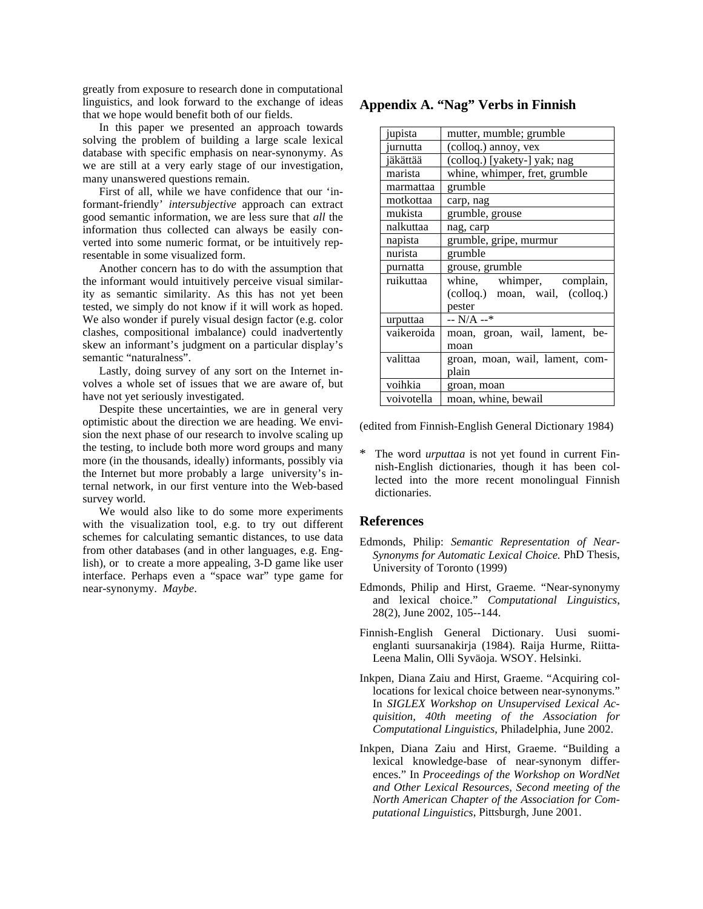greatly from exposure to research done in computational linguistics, and look forward to the exchange of ideas that we hope would benefit both of our fields.

In this paper we presented an approach towards solving the problem of building a large scale lexical database with specific emphasis on near-synonymy. As we are still at a very early stage of our investigation, many unanswered questions remain.

First of all, while we have confidence that our 'informant-friendly' *intersubjective* approach can extract good semantic information, we are less sure that *all* the information thus collected can always be easily converted into some numeric format, or be intuitively representable in some visualized form.

Another concern has to do with the assumption that the informant would intuitively perceive visual similarity as semantic similarity. As this has not yet been tested, we simply do not know if it will work as hoped. We also wonder if purely visual design factor (e.g. color clashes, compositional imbalance) could inadvertently skew an informant's judgment on a particular display's semantic "naturalness".

Lastly, doing survey of any sort on the Internet involves a whole set of issues that we are aware of, but have not yet seriously investigated.

Despite these uncertainties, we are in general very optimistic about the direction we are heading. We envision the next phase of our research to involve scaling up the testing, to include both more word groups and many more (in the thousands, ideally) informants, possibly via the Internet but more probably a large university's internal network, in our first venture into the Web-based survey world.

We would also like to do some more experiments with the visualization tool, e.g. to try out different schemes for calculating semantic distances, to use data from other databases (and in other languages, e.g. English), or to create a more appealing, 3-D game like user interface. Perhaps even a "space war" type game for near-synonymy. *Maybe*.

#### **Appendix A. "Nag" Verbs in Finnish**

| jupista    | mutter, mumble; grumble         |  |
|------------|---------------------------------|--|
| iurnutta   | (colloq.) annoy, vex            |  |
| jäkättää   | (colloq.) [yakety-] yak; nag    |  |
| marista    | whine, whimper, fret, grumble   |  |
| marmattaa  | grumble                         |  |
| motkottaa  | carp, nag                       |  |
| mukista    | grumble, grouse                 |  |
| nalkuttaa  | nag, carp                       |  |
| napista    | grumble, gripe, murmur          |  |
| nurista    | grumble                         |  |
| purnatta   | grouse, grumble                 |  |
| ruikuttaa  | whine, whimper, complain,       |  |
|            | (colloq.) moan, wail, (colloq.) |  |
|            | pester                          |  |
| urputtaa   | $- N/A -$ *                     |  |
| vaikeroida | moan, groan, wail, lament, be-  |  |
|            | moan                            |  |
| valittaa   | groan, moan, wail, lament, com- |  |
|            | plain                           |  |
| voihkia    | groan, moan                     |  |
| voivotella | moan, whine, bewail             |  |

(edited from Finnish-English General Dictionary 1984)

The word *urputtaa* is not yet found in current Finnish-English dictionaries, though it has been collected into the more recent monolingual Finnish dictionaries.

## **References**

- Edmonds, Philip: *Semantic Representation of Near-Synonyms for Automatic Lexical Choice.* PhD Thesis, University of Toronto (1999)
- Edmonds, Philip and Hirst, Graeme. "Near-synonymy and lexical choice." *Computational Linguistics*, 28(2), June 2002, 105--144.
- Finnish-English General Dictionary. Uusi suomienglanti suursanakirja (1984). Raija Hurme, Riitta-Leena Malin, Olli Syväoja. WSOY. Helsinki.
- Inkpen, Diana Zaiu and Hirst, Graeme. "Acquiring collocations for lexical choice between near-synonyms." In *SIGLEX Workshop on Unsupervised Lexical Acquisition, 40th meeting of the Association for Computational Linguistics*, Philadelphia, June 2002.
- Inkpen, Diana Zaiu and Hirst, Graeme. "Building a lexical knowledge-base of near-synonym differences." In *Proceedings of the Workshop on WordNet and Other Lexical Resources, Second meeting of the North American Chapter of the Association for Computational Linguistics*, Pittsburgh, June 2001.